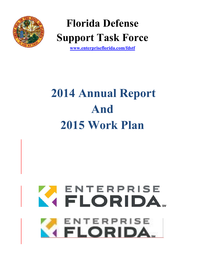

# **Florida Defense Support Task Force**

**[www.enterpriseflorida.com/fdstf](http://www.enterpriseflorida.com/fdstf)**

# **2014 Annual Report And 2015 Work Plan**

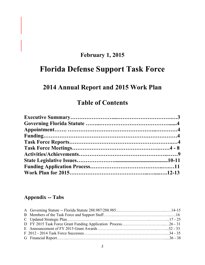## **February 1, 2015**

## **Florida Defense Support Task Force**

## **2014 Annual Report and 2015 Work Plan**

## **Table of Contents**

## **Appendix -- Tabs**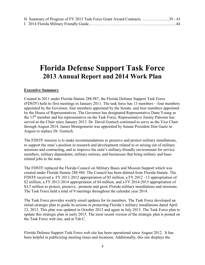| H Summary of Progress of FY 2013 Task Force Grant Award Contracts 39 - 43 |  |  |  |
|---------------------------------------------------------------------------|--|--|--|
|                                                                           |  |  |  |

## **Florida Defense Support Task Force 2013 Annual Report and 2014 Work Plan**

#### **Executive Summary**

Created in 2011 under Florida Statute 288.987, the Florida Defense Support Task Force (FDSTF) held its first meetings in January 2011. The task force has 13 members – four members appointed by the Governor, four members appointed by the Senate, and four members appointed by the House of Representatives. The Governor has designated Representative Dana Young as the 13<sup>th</sup> member and his representative on the Task Force. Representative Jimmy Patronis has served as the Chair since January 2013. Dr. David Goetsch continued to serve as the Vice Chair through August 2014. James Montgomerie was appointed by Senate President Don Gaetz in August to replace Dr. Goetsch.

The FDSTF mission is to make recommendations to preserve and protect military installations, to support the state's position in research and development related to or arising out of military missions and contracting, and to improve the state's military-friendly environment for service members, military dependents, military retirees, and businesses that bring military and baserelated jobs to the state.

The FDSTF replaced the Florida Council on Military Bases and Mission Support which was created under Florida Statute 288.984. The Council has been deleted from Florida Statute. The FDSTF received a FY 2011-2012 appropriation of \$5 million, a FY 2012 –13 appropriation of \$2 million, a FY 2013-2014 appropriation of \$4 million, and a FY 2014-2015 appropriation of \$3.5 million to protect, preserve, promote and grow Florida military installations and missions. The Task Force held a total of 9 meetings throughout the calendar year 2014.

The Task Force provides weekly email updates for its members. The Task Force developed an initial strategic plan to guide its actions in protecting Florida's military installations dated April 23, 2012. This plan was updated in October 2012 and again in July 2013. The Task Force plan to update this strategic plan in early 2015. The most recent version of the strategic plan is posted on the Task Force web site, and at Tab C.

Florida Defense Support Task Force web site has been operational since August 2012. It has been helpful in publicizing meeting times and locations. Additionally, this site displays the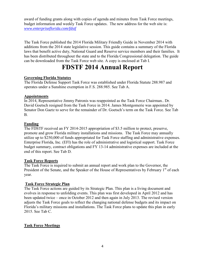award of funding grants along with copies of agenda and minutes from Task Force meetings, budget information and weekly Task Force updates. The new address for the web site is: *[www.enterpriseflorida.com/fdstf](http://www.enterpriseflorida.com/fdstf)*

The Task Force published the 2014 Florida Military Friendly Guide in November 2014 with additions from the 2014 state legislative session. This guide contains a summary of the Florida laws that benefit active duty, National Guard and Reserve service members and their families. It has been distributed throughout the state and to the Florida Congressional delegation. The guide can be downloaded from the Task Force web site. A copy is enclosed at Tab I.

## **FDSTF 2014 Annual Report**

#### **Governing Florida Statutes**

The Florida Defense Support Task Force was established under Florida Statute 288.987 and operates under a Sunshine exemption in F.S. 288.985. See Tab A.

#### **Appointments**

In 2014, Representative Jimmy Patronis was reappointed as the Task Force Chairman.. Dr. David Goetsch resigned from the Task Force in 2014. James Montgomerie was appointed by Senator Don Gaetz to serve for the remainder of Dr. Goetsch's term on the Task Force. See Tab B.

#### **Funding**

The FDSTF received an FY 2014-2015 appropriation of \$3.5 million to protect, preserve, promote and grow Florida military installations and missions. The Task Force may annually utilize up to \$250,000 of funds appropriated for Task Force staffing and administrative expenses. Enterprise Florida, Inc. (EFI) has the role of administrative and logistical support. Task Force budget summary, contract obligations and FY 13-14 administrative expenses are included at the end of this report. See Tab D.

#### **Task Force Reports**

The Task Force is required to submit an annual report and work plan to the Governor, the President of the Senate, and the Speaker of the House of Representatives by February  $1<sup>st</sup>$  of each year.

#### **Task Force Strategic Plan**

The Task Force actions are guided by its Strategic Plan. This plan is a living document and evolves in response to unfolding events. This plan was first developed in April 2012 and has been updated twice – once in October 2012 and then again in July 2013. The revised version adjusts the Task Force goals to reflect the changing national defense budgets and its impact on Florida's military missions and installations. The Task Force plans to update this plan in early 2015. See Tab C.

#### **Task Force Meetings**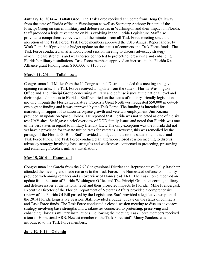**January 16, 2014 -- Tallahassee.** The Task Force received an update from Doug Callaway from the state of Florida office in Washington as well as Secretary Anthony Principi of the Principi Group on current military and defense issues in Washington and their impact on Florida. Staff provided a legislative update on bills evolving in the Florida Legislature. Staff also provided a comprehensive review of all the minutes from all Task Force meeting since the inception of the Task Force. Task Force members approved the 2013 Annual Report and 2014 Work Plan. Staff provided a budget update on the status of contracts and Task Force funds. The Task Force conducted an afternoon closed session meeting to discuss advocacy strategy involving base strengths and weaknesses connected to protecting, preserving and enhancing Florida's military installations. Task Force members approved an increase in the Florida 8 a Alliance grant funding from \$100,000 to \$150,000.

#### **March 11, 2014 -- Tallahassee.**

Congressman Jeff Miller from the  $1<sup>st</sup>$  Congressional District attended this meeting and gave opening remarks. The Task Force received an update from the state of Florida Washington Office and The Principi Group concerning military and defense issues at the national level and their projected impacts to Florida. Staff reported on the status of military-friendly legislation moving through the Florida Legislature. Florida's Great Northwest requested \$50,000 in out-ofcycle grant funding and it was approved by the Task Force. The funding is intended for marketing in support of aviation aerospace growth and veterans employment. Jim Kuzma provided an update on Space Florida. He reported that Florida was not selected as one of the six test UAV sites. Staff gave a brief overview of DOD family issues and noted that Florida was one of the best states in regard to military friendly laws. The only exception was the Florida did not yet have a provision for in-state tuition rates for veterans. However, this was remedied by the passage of the Florida GI Bill. Staff provided a budget update on the status of contracts and Task Force funds. The Task Force conducted an afternoon closed session meeting to discuss advocacy strategy involving base strengths and weaknesses connected to protecting, preserving and enhancing Florida's military installations

#### **May 15, 2014 -- Homestead**.

Congressman Joe Garcia from the  $26<sup>th</sup>$  Congressional District and Representative Holly Raschein attended the meeting and made remarks to the Task Force. The Homestead defense community provided welcoming remarks and an overview of Homestead ARB. The Task Force received an update from the state of Florida Washington Office and The Principi Group concerning military and defense issues at the national level and their projected impacts to Florida. Mike Prendergast, Executive Director of the Florida Department of Veterans Affairs provided a comprehensive review of the Florida GI Bill passed by the Legislature. Staff provided a legislative wrap-up of the 2014 Florida Legislative Session. Staff provided a budget update on the status of contracts and Task Force funds. The Task Force conducted a closed session meeting to discuss advocacy strategy involving base strengths and weaknesses connected to protecting, preserving and enhancing Florida's military installations. Following the meeting, Task Force members received a tour of Homestead ARB. Newest member of the Task Force staff, Marcy Sanders, was introduced to the Task Force members.

#### **June 19, 2014 – Orlando**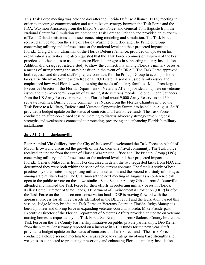This Task Force meeting was held the day after the Florida Defense Alliance (FDA) meeting in order to encourage communication and capitalize on synergy between the Task Force and the FDA. Waymon Armstrong from the Mayor's Task Force and General Tom Baptiste from the National Center for Simulation welcomed the Task Force to Orlando and provided an overview of Team Orlando missions and issues concerning modeling and simulation. The Task Force received an update from the state of Florida Washington Office and The Principi Group concerning military and defense issues at the national level and their projected impacts to Florida. Craig Dalton, Chairman of the Florida Defense Alliance, provided on update on his organization's activities. He also requested that the Task Force commission a survey of the best practices of other states to use to measure Florida's progress in supporting military installations. Additionally, Craig requested a study to show the connectivity among Florida's military bases as a means of strengthening the state's position in the event of a BRAC. The Task Force approved both requests and directed staff to prepare contracts for The Principi Group to accomplish the tasks. Eric Sherman, Southeastern Regional DOD state liaison discussed family issues and emphasized how well Florida was addressing the needs of military families. Mike Prendergast, Executive Director of the Florida Department of Veterans Affairs provided an update on veterans issues and the Governor's program of awarding state veterans medals. Colonel Glenn Saunders from the US Army Reserve reported that Florida had about 9,000 Army Reservists and 39 separate facilities. During public comment, Sal Nuzzo from the Florida Chamber invited the Task Force to a Military, Defense and Veterans Opportunity Summit to be held in August. Staff provided a budget update on the status of contracts and Task Force funds. The Task Force conducted an afternoon closed session meeting to discuss advocacy strategy involving base strengths and weaknesses connected to protecting, preserving and enhancing Florida's military installations.

#### **July 31, 2014 -- Jacksonville**

Rear Admiral Vic Guillory from the City of Jacksonville welcomed the Task Force on behalf of Mayor Brown and discussed the growth of the Jacksonville Naval community. The Task Force received an update from the state of Florida Washington Office and The Principi Group (TPG) concerning military and defense issues at the national level and their projected impacts to Florida. General Mike Jones from TPG discussed in detail the two requested tasks from FDA and determined they were both within the scope of the current contract. The first is a study of best practices by other states in supporting military installations and the second is a study of linkages among state military bases. The Chairman set the next meeting in August as a conference call open to the public to vote on these two studies. State Senator Audrey Gibson from Jacksonville attended and thanked the Task Force for their efforts in protecting military bases in Florida. Kelley Boree, Director of State Lands, Department of Environmental Protection (DEP) briefed the Task Force on the status on non-conservation lands. DEP is moving forward with the appraisal process for all three parcels identified in the DEO report and the legislation passed this session. Judge Maney briefed the Task Force on Veterans Courts in Florida. Judge Maney has been a pioneer and driving force in expanding veterans courts in Florida. Mike Prendergast, Executive Director of the Florida Department of Veterans Affairs provided an update on veterans nursing homes as requested by the Task Force. Sal Nodjomian from Okaloosa County briefed the Task Force on the Tri-County Partnership Initiative on public-private partnerships. Deb Keller from the Nature Conservancy reported on a increase in REPI funds for the next year. Staff provided a budget update on the status of contracts and Task Force funds. The Task Force conducted a closed session meeting to discuss advocacy strategy involving base strengths and weaknesses connected to protecting, preserving and enhancing Florida's military installations.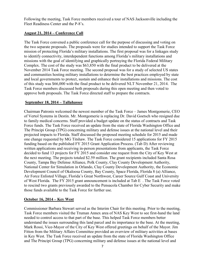Following the meeting, Task Force members received a tour of NAS Jacksonville including the Fleet Readiness Center and the P-8's.

#### **August 21, 2014 – Conference Call**

The Task Force convened a public conference call for the purpose of discussing and voting on the two separate proposals. The proposals were for studies intended to support the Task Force mission of protecting Florida's military installations. The first proposal was for a linkages study to identify connectivity, interdependent functions among Florida's military installations and missions with the goal of identifying and graphically portraying the Florida Federal Military Complex. The cost of the study was \$63,850 with the final product to be delivered at the November 2014 Task Force meeting. The second proposal was for a study of selected US states and communities hosting military installations to determine the best practices employed by state and local governments to protect, sustain and enhance their installations and missions. The cost of this study was \$66,000 with the final product to be delivered NLT November 21, 2014. The Task Force members discussed both proposals during this open meeting and then voted to approve both proposals. The Task Force directed staff to prepare the contracts.

#### **September 18, 2014 – Tallahassee**

Chairman Patronis welcomed the newest member of the Task Force – James Montgomerie, CEO of Vertol Systems in Destin. Mr. Montgomerie is replacing Dr. David Goetsch who resigned due to family medical concerns. Staff provided a budget update on the status of contracts and Task Force funds. The Task Force received an update from the state of Florida Washington Office and The Principi Group (TPG) concerning military and defense issues at the national level and their projected impacts to Florida. Staff discussed the proposed meeting schedule for 2015 and made one change requested by MG Titshaw. The Task Force considered 15 applications for FY 2015 funding based on the published FY 2015 Grant Application Process. (Tab D) After reviewing written applications and receiving in-person presentations from applicants, the Task Force decided to fund 13 projects for FY 2015 and consider one request from the City of Key West at the next meeting. The projects totaled \$2.59 million. The grant recipients included Santa Rosa County, Tampa Bay Defense Alliance, Polk County, Clay County Development Authority, National Center for Simulation in Orlando, Clay County Development Authority, the Economic Development Council of Okaloosa County, Bay County, Space Florida, Florida 8 (a) Alliance, Air Force Enlisted Village, Florida's Great Northwest, Career Source Gulf Coast and University of West Florida. The FY 2015 grant announcement is included at Tab E . The Task Force voted to rescind two grants previously awarded to the Pensacola Chamber for Cyber Security and make those funds available to the Task Force for further use.

#### **October 16, 2014 – Key West**

Commissioner Barbara Stewart served as the Interim Chair for this meeting. Prior to the meeting, Task Force members visited the Truman Annex area of NAS Key West to see first-hand the land needed to control access to that part of the base. This helped Task Force members better understand the issues surrounding this land parcel and its importance to the base. At the meeting, Mark Rossi, Vice-Mayor of the City of Key West offered greetings on behalf of the Mayor. Jim Fitton from the Military Affairs Committee provided an overview of military activities at bases in Key West. The Task Force received an update from the state of Florida Washington Office and The Principi Group (TPG) concerning military and defense issues at the national level and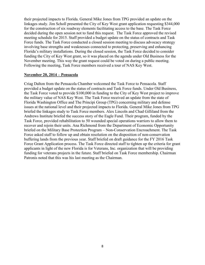their projected impacts to Florida. General Mike Jones from TPG provided an update on the linkages study. Jim Scholl presented the City of Key West grant application requesting \$344,000 for the construction of six roadway elements facilitating access to the base. The Task Force decided during the open session not to fund this request. The Task Force approved the revised meeting schedule for 2015. Staff provided a budget update on the status of contracts and Task Force funds. The Task Force conducted a closed session meeting to discuss advocacy strategy involving base strengths and weaknesses connected to protecting, preserving and enhancing Florida's military installations. During the closed session, the Task Force decided to consider funding the City of Key West grant, so it was placed on the agenda under Old Business for the November meeting. This way the grant request could be voted on during a public meeting. Following the meeting, Task Force members received a tour of NAS Key West.

#### **November 20, 2014 – Pensacola**

Criag Dalton from the Pensacola Chamber welcomed the Task Force to Pensacola. Staff provided a budget update on the status of contracts and Task Force funds. Under Old Business, the Task Force voted to provide \$100,000 in funding to the City of Key West project to improve the military value of NAS Key West. The Task Force received an update from the state of Florida Washington Office and The Principi Group (TPG) concerning military and defense issues at the national level and their projected impacts to Florida. General Mike Jones from TPG briefed the linkages study to Task Force members. Alex Lincoln and Chad Gilliland from the Andrews Institute briefed the success story of the Eagle Fund. Their program, funded by the Task Force, provided rehabilitation to 50 wounded special operations warriors to allow them to recover and rejoin their units. Ana Richmond from the Department of Economic Opportunity briefed on the Military Base Protection Program – Non-Conservation Encroachment. The Task Force asked staff to follow up and obtain resolution on the disposition of non-conservation buffering lands from the previous year. Staff briefed on draft guidance for the FY 2016 Task Force Grant Application process. The Task Force directed staff to tighten up the criteria for grant applicants in light of the new Florida is for Veterans, Inc. organization that will be providing funding for veterans projects in the future. Staff briefed on Task Force membership. Chairman Patronis noted that this was his last meeting as the Chairman.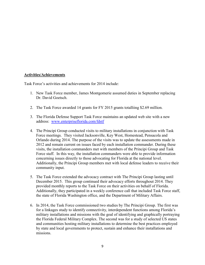#### **Activities/Achievements**

Task Force's activities and achievements for 2014 include:

- 1. New Task Force member, James Montgomerie assumed duties in September replacing Dr. David Goetsch.
- 2. The Task Force awarded 14 grants for FY 2015 grants totalliing \$2.69 million.
- 3. The Florida Defense Support Task Force maintains an updated web site with a new address: [www.enterpriseflorida.com/fdstf](http://www.enterpriseflorida.com/fdstf)
- 4. The Principi Group conducted visits to military installations in conjunction with Task Force meetings. They visited Jacksonville, Key West, Homestead, Pensacola and Orlando during 2014. The purpose of the visits was to update the assessments made in 2012 and remain current on issues faced by each installation commander. During these visits, the installation commanders met with members of the Principi Group and Task Force staff. In this way, the installation commanders were able to provide information concerning issues directly to those advocating for Florida at the national level. Additionally, the Principi Group members met with local defense leaders to receive their community input.
- 5. The Task Force extended the advocacy contract with The Principi Group lasting until December 2015. This group continued their advocacy efforts throughout 2014. They provided monthly reports to the Task Force on their activities on behalf of Florida. Additionally, they participated in a weekly conference call that included Task Force staff, the state of Florida Washington office, and the Department of Military Affairs.
- 6. In 2014, the Task Force commissioned two studies by The Principi Group. The first was for a linkages study to identify connectivity, interdependent functions among Florida's military installations and missions with the goal of identifying and graphically portraying the Florida Federal Military Complex. The second was for a study of selected US states and communities hosting military installations to determine the best practices employed by state and local governments to protect, sustain and enhance their installations and missions.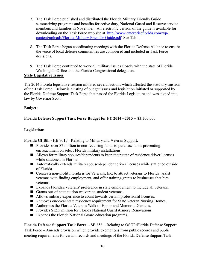- 7. The Task Force published and distributed the Florida Military Friendly Guide summarizing programs and benefits for active duty, National Guard and Reserve service members and families in November. An electronic version of the guide is available for downloading on the Task Force web site at [http://www.enterpriseflorida.com/wp](http://www.enterpriseflorida.com/wp-content/uploads/Florida-Military-Friendly-Guide.pdf)[content/uploads/Florida-Military-Friendly-Guide.pdf](http://www.enterpriseflorida.com/wp-content/uploads/Florida-Military-Friendly-Guide.pdf) See Tab I.
- 8. The Task Force began coordinating meetings with the Florida Defense Alliance to ensure the voice of local defense communities are considered and included in Task Force decisions.
- 9. The Task Force continued to work all military issues closely with the state of Florida Washington Office and the Florida Congressional delegation.

#### **State Legislative Issues**

The 2014 Florida legislative session initiated several actions which affected the statutory mission of the Task Force. Below is a listing of budget issues and legislation initiated or supported by the Florida Defense Support Task Force that passed the Florida Legislature and was signed into law by Governor Scott:

#### **Budget:**

#### **Florida Defense Support Task Force Budget for FY 2014 - 2015 -- \$3,500,000.**

#### **Legislation:**

**Florida GI Bill -** HB 7015 - Relating to Military and Veteran Support.

- Provides over \$7 million in non-recurring funds to purchase lands preventing encroachment on select Florida military installations.
- Allows for military spouses/dependents to keep their state of residence driver licenses while stationed in Florida.
- Automatically extends military spouse/dependent driver licenses while stationed outside of Florida.
- Creates a non-profit Florida is for Veterans, Inc. to attract veterans to Florida, assist veterans with finding employment, and offer training grants to businesses that hire veterans.
- Expands Florida's veterans' preference in state employment to include all veterans.
- Grants out-of-state tuition waivers to student veterans.
- Allows military experience to count towards certain professional licenses.
- Removes one-year state residency requirement for State Veteran Nursing Homes.
- Authorizes the Florida Veterans Walk of Honor and Memorial Gardens.
- Provides \$12.5 million for Florida National Guard Armory Renovations.
- Expands the Florida National Guard education programs.

**Florida Defense Support Task Force –** SB 858 – Relating to OSGR/Florida Defense Support Task Force – Amends provision which provide exemptions from public records and public meeting requirements for certain records and meetings of the Florida Defense Support Task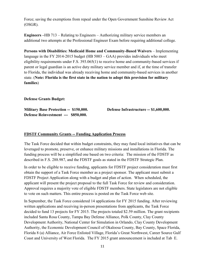Force; saving the exemptions from repeal under the Open Government Sunshine Review Act (OSGR).

**Engineers –**HB 713 – Relating to Engineers – Authorizing military service members an additional two attempts at the Professional Engineer Exam before requiring additional college.

**Persons with Disabilities: Medicaid Home and Community-Based Waivers** – Implementing language in the FY 2014-2015 budget (HB 5003 – GAA) provides individuals who meet eligibility requirements under F.S. 393.065(1) to receive home and community-based services if parent or legal guardian is an active duty military service member and if, at the time of transfer to Florida, the individual was already receiving home and community-based services in another state. (**Note: Florida is the first state in the nation to adopt this provision for military families**)

**Defense Grants Budget:** 

**Military Base Protection -- \$150,000. Defense Infrastructure -- \$1,600,000. Defense Reinvestment --- \$850,000.** 

#### **FDSTF Community Grants -- Funding Application Process**

The Task Force decided that within budget constraints, they may fund local initiatives that can be leveraged to promote, preserve, or enhance military missions and installations in Florida. The funding process will be a simplified one based on two criteria: The mission of the FDSTF as described in F.S. 288.987, and the FDSTF goals as stated in the FDSTF Strategic Plan.

In order to be eligible to receive funding, applicants for FDSTF project consideration must first obtain the support of a Task Force member as a project sponsor. The applicant must submit a FDSTF Project Application along with a budget and plan of action. When scheduled, the applicant will present the project proposal to the full Task Force for review and consideration. Approval requires a majority vote of eligible FDSTF members. State legislators are not eligible to vote on such matters. This entire process is posted on the Task Force web site.

In September, the Task Force considered 14 applications for FY 2015 funding. After reviewing written applications and receiving in-person presentations from applicants, the Task Force decided to fund 13 projects for FY 2015. The projects totaled \$2.59 million. The grant recipients included Santa Rosa County, Tampa Bay Defense Alliance, Polk County, Clay County Development Authority, National Center for Simulation in Orlando, Clay County Development Authority, the Economic Development Council of Okaloosa County, Bay County, Space Florida, Florida 8 (a) Alliance, Air Force Enlisted Village, Florida's Great Northwest, Career Source Gulf Coast and University of West Florida. The FY 2015 grant announcement is included at Tab E.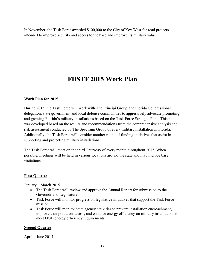In November, the Task Force awarded \$100,000 to the City of Key West for road projects intended to improve security and access to the base and improve its military value.

## **FDSTF 2015 Work Plan**

#### **Work Plan for 2015**

During 2015, the Task Force will work with The Principi Group, the Florida Congressional delegation, state government and local defense communities to aggressively advocate promoting and growing Florida's military installations based on the Task Force Strategic Plan. This plan was developed based on the results and recommendations from the comprehensive analysis and risk assessment conducted by The Spectrum Group of every military installation in Florida. Additionally, the Task Force will consider another round of funding initiatives that assist in supporting and protecting military installations.

The Task Force will meet on the third Thursday of every month throughout 2015. When possible, meetings will be held in various locations around the state and may include base visitations.

#### **First Quarter**

January – March 2015

- The Task Force will review and approve the Annual Report for submission to the Governor and Legislature.
- Task Force will monitor progress on legislative initiatives that support the Task Force mission.
- Task Force will monitor state agency activities to prevent installation encroachment, improve transportation access, and enhance energy efficiency on military installations to meet DOD energy efficiency requirements.

#### **Second Quarter**

April – June 2015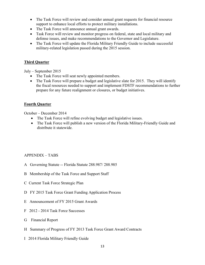- The Task Force will review and consider annual grant requests for financial resource support to enhance local efforts to protect military installations.
- The Task Force will announce annual grant awards.
- Task Force will review and monitor progress on federal, state and local military and defense issues, and make recommendations to the Governor and Legislature.
- The Task Force will update the Florida Military Friendly Guide to include successful military-related legislation passed during the 2015 session.

#### **Third Quarter**

July – September 2015

- The Task Force will seat newly appointed members.
- The Task Force will prepare a budget and legislative slate for 2015. They will identify the fiscal resources needed to support and implement FDSTF recommendations to further prepare for any future realignment or closures, or budget initiatives.

#### **Fourth Quarter**

October – December 2014

- The Task Force will refine evolving budget and legislative issues.
- The Task Force will publish a new version of the Florida Military-Friendly Guide and distribute it statewide.

#### APPENDIX – TABS

- A Governing Statute -- Florida Statute 288.987/ 288.985
- B Membership of the Task Force and Support Staff
- C Current Task Force Strategic Plan
- D FY 2015 Task Force Grant Funding Application Process
- E Announcement of FY 2015 Grant Awards
- F 2012 2014 Task Force Successes
- G Financial Report
- H Summary of Progress of FY 2013 Task Force Grant Award Contracts
- I 2014 Florida Military Friendly Guide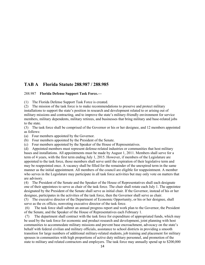#### **TAB A Florida Statute 288.987 / 288.985**

#### 288.987 **Florida Defense Support Task Force.—**

(1) The Florida Defense Support Task Force is created.

(2) The mission of the task force is to make recommendations to preserve and protect military installations to support the state's position in research and development related to or arising out of military missions and contracting, and to improve the state's military-friendly environment for service members, military dependents, military retirees, and businesses that bring military and base-related jobs to the state.

(3) The task force shall be comprised of the Governor or his or her designee, and 12 members appointed as follows:

(a) Four members appointed by the Governor.

- (b) Four members appointed by the President of the Senate.
- (c) Four members appointed by the Speaker of the House of Representatives.

(d) Appointed members must represent defense-related industries or communities that host military bases and installations. All appointments must be made by August 1, 2011. Members shall serve for a term of 4 years, with the first term ending July 1, 2015. However, if members of the Legislature are appointed to the task force, those members shall serve until the expiration of their legislative term and may be reappointed once. A vacancy shall be filled for the remainder of the unexpired term in the same manner as the initial appointment. All members of the council are eligible for reappointment. A member who serves in the Legislature may participate in all task force activities but may only vote on matters that are advisory.

(4) The President of the Senate and the Speaker of the House of Representatives shall each designate one of their appointees to serve as chair of the task force. The chair shall rotate each July 1. The appointee designated by the President of the Senate shall serve as initial chair. If the Governor, instead of his or her designee, participates in the activities of the task force, then the Governor shall serve as chair.

(5) The executive director of the Department of Economic Opportunity, or his or her designee, shall serve as the ex officio, nonvoting executive director of the task force.

(6) The task force shall submit an annual progress report and work plan to the Governor, the President of the Senate, and the Speaker of the House of Representatives each February 1.

(7) The department shall contract with the task force for expenditure of appropriated funds, which may be used by the task force for economic and product research and development, joint planning with host communities to accommodate military missions and prevent base encroachment, advocacy on the state's behalf with federal civilian and military officials, assistance to school districts in providing a smooth transition for large numbers of additional military-related students, job training and placement for military spouses in communities with high proportions of active duty military personnel, and promotion of the state to military and related contractors and employers. The task force may annually spend up to \$200,000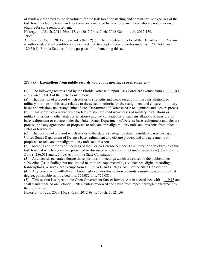of funds appropriated to the department for the task force for staffing and administrative expenses of the task force, including travel and per diem costs incurred by task force members who are not otherwise eligible for state reimbursement.

History.—s. 38, ch. 2011-76; s. 47, ch. 2012-96; s. 7, ch. 2012-98; s. 11, ch. 2012-159.  $\mathrm{^{1}Note}$ .

A. Section 35, ch. 2011-76, provides that: "(1) The executive director of the Department of Revenue is authorized, and all conditions are deemed met, to adopt emergency rules under ss. 120.536(1) and 120.54(4), Florida Statutes, for the purpose of implementing this act.

#### 288.985 **Exemptions from public records and public meetings requirements.—**

(1) The following records held by the Florida Defense Support Task Force are exempt from s. [119.07\(](http://www.leg.state.fl.us/Statutes/index.cfm?App_mode=Display_Statute&Search_String=&URL=0100-0199/0119/Sections/0119.07.html)1) and s. 24(a), Art. I of the State Constitution:

(a) That portion of a record which relates to strengths and weaknesses of military installations or military missions in this state relative to the selection criteria for the realignment and closure of military bases and missions under any United States Department of Defense base realignment and closure process.

(b) That portion of a record which relates to strengths and weaknesses of military installations or military missions in other states or territories and the vulnerability of such installations or missions to base realignment or closure under the United States Department of Defense base realignment and closure process, and any agreements or proposals to relocate or realign military units and missions from other states or territories.

(c) That portion of a record which relates to the state's strategy to retain its military bases during any United States Department of Defense base realignment and closure process and any agreements or proposals to relocate or realign military units and missions.

(2) Meetings or portions of meetings of the Florida Defense Support Task Force, or a workgroup of the task force, at which records are presented or discussed which are exempt under subsection (1) are exempt from s. [286.011](http://www.leg.state.fl.us/Statutes/index.cfm?App_mode=Display_Statute&Search_String=&URL=0200-0299/0286/Sections/0286.011.html) and s. 24(b), Art. I of the State Constitution.

(3) Any records generated during those portions of meetings which are closed to the public under subsection (2), including, but not limited to, minutes, tape recordings, videotapes, digital recordings, transcriptions, or notes, are exempt from s.  $119.07(1)$  and s. 24(a), Art. I of the State Constitution.

(4) Any person who willfully and knowingly violates this section commits a misdemeanor of the first degree, punishable as provided in s. [775.082](http://www.leg.state.fl.us/Statutes/index.cfm?App_mode=Display_Statute&Search_String=&URL=0700-0799/0775/Sections/0775.082.html) or s. [775.083.](http://www.leg.state.fl.us/Statutes/index.cfm?App_mode=Display_Statute&Search_String=&URL=0700-0799/0775/Sections/0775.083.html)

(5) This section is subject to the Open Government Sunset Review Act in accordance with s. [119.15](http://www.leg.state.fl.us/Statutes/index.cfm?App_mode=Display_Statute&Search_String=&URL=0100-0199/0119/Sections/0119.15.html) and shall stand repealed on October 2, 2014, unless reviewed and saved from repeal through reenactment by the Legislature.

History.—s. 1, ch. 2009-156; s. 6, ch. 2012-98; s. 10, ch. 2012-159.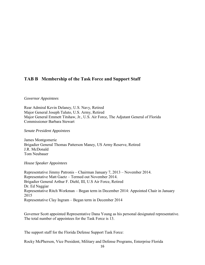#### **TAB B Membership of the Task Force and Support Staff**

#### *Governor Appointees*

Rear Admiral Kevin Delaney, U.S. Navy, Retired Major General Joseph Taluto, U.S. Army, Retired Major General Emmett Titshaw, Jr., U.S. Air Force, The Adjutant General of Florida Commissioner Barbara Stewart

#### *Senate President Appointees*

James Montgomerie Brigadier General Thomas Patterson Maney, US Army Reserve, Retired J.R. McDonald Tom Neubauer

#### *House Speaker Appointees*

Representative Jimmy Patronis – Chairman January 7, 2013 – November 2014. Representative Matt Gaetz – Termed out November 2014. Brigadier General Arthur F. Diehl, III, U.S Air Force, Retired Dr. Ed Naggiar Representative Ritch Workman – Began term in December 2014: Appointed Chair in January 2015 Representative Clay Ingram – Began term in December 2014

Governor Scott appointed Representative Dana Young as his personal designated representative. The total number of appointees for the Task Force is 13.

The support staff for the Florida Defense Support Task Force:

Rocky McPherson, Vice President, Military and Defense Programs, Enterprise Florida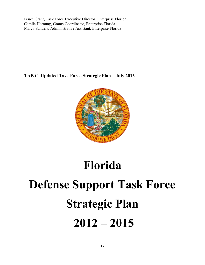Bruce Grant, Task Force Executive Director, Enterprise Florida Camila Hornung, Grants Coordinator, Enterprise Florida Marcy Sanders, Administrative Assistant, Enterprise Florida

**TAB C Updated Task Force Strategic Plan – July 2013** 



## **Florida**

# **Defense Support Task Force Strategic Plan 2012 – 2015**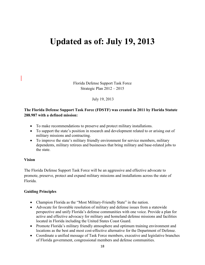## **Updated as of: July 19, 2013**

Florida Defense Support Task Force Strategic Plan 2012 – 2015

July 19, 2013

#### **The Florida Defense Support Task Force (FDSTF) was created in 2011 by Florida Statute 288.987 with a defined mission:**

- To make recommendations to preserve and protect military installations.
- To support the state's position in research and development related to or arising out of military missions and contracting.
- To improve the state's military friendly environment for service members, military dependents, military retirees and businesses that bring military and base-related jobs to the state.

#### **Vision**

The Florida Defense Support Task Force will be an aggressive and effective advocate to promote, preserve, protect and expand military missions and installations across the state of Florida.

#### **Guiding Principles**

- Champion Florida as the "Most Military-Friendly State" in the nation.
- Advocate for favorable resolution of military and defense issues from a statewide perspective and unify Florida's defense communities with one voice. Provide a plan for active and effective advocacy for military and homeland defense missions and facilities located in Florida including the United States Coast Guard.
- Promote Florida's military friendly atmosphere and optimum training environment and locations as the best and most cost-effective alternative for the Department of Defense.
- Coordinate a unified message of Task Force members, executive and legislative branches of Florida government, congressional members and defense communities.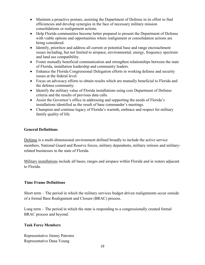- Maintain a proactive posture, assisting the Department of Defense in its effort to find efficiencies and develop synergies in the face of necessary military mission consolidations or realignment actions.
- Help Florida communities become better prepared to present the Department of Defense with viable options and opportunities where realignment or consolidation actions are being considered.
- Identify, prioritize and address all current or potential base and range encroachment issues including, but not limited to airspace, environmental, energy, frequency spectrum and land use compatibility.
- Foster mutually beneficial communication and strengthen relationships between the state of Florida, installation leadership and community leaders.
- Enhance the Florida Congressional Delegation efforts in working defense and security issues at the federal level.
- Focus on advocacy efforts to obtain results which are mutually beneficial to Florida and the defense community.
- Identify the military value of Florida installations using core Department of Defense criteria and the results of previous data calls.
- Assist the Governor's office in addressing and supporting the needs of Florida's installations identified as the result of base commander's meetings.
- Champion and continue legacy of Florida's warmth, embrace and respect for military family quality of life.

#### **General Definitions**

Defense is a multi-dimensional environment defined broadly to include the active service members, National Guard and Reserve forces, military dependents, military retirees and militaryrelated businesses in the state of Florida.

Military installations include all bases, ranges and airspace within Florida and in waters adjacent to Florida.

#### **Time Frame Definitions**

Short term – The period in which the military services budget-driven realignments occur outside of a formal Base Realignment and Closure (BRAC) process.

Long term – The period in which the state is responding to a congressionally created formal BRAC process and beyond.

#### **Task Force Members**

Representative Jimmy Patronis Representative Dana Young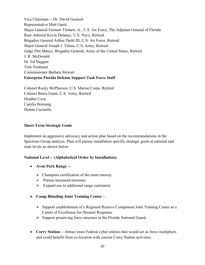Vice Chairman -- Dr. David Goetsch Representative Matt Gaetz Major General Emmett Titshaw, Jr., U.S. Air Force, The Adjutant General of Florida Rear Admiral Kevin Delaney, U.S. Navy, Retired Brigadier General Arthur Diehl III, U.S. Air Force, Retired Major General Joseph J. Taluto, U.S. Army, Retired Judge Patt Maney, Brigadier General, Army of the United States, Retired J. R. McDonald Dr. Ed Naggiar Tom Neubauer Commissioner Barbara Stewart **Enterprise Florida Defense Support Task Force Staff** 

Colonel Rocky McPherson, U.S. Marine Corps, Retired Colonel Bruce Grant, U.S. Army, Retired Heather Cave Camila Hornung Donna Cucinella

#### **Short-Term Strategic Goals**

Implement an aggressive advocacy and action plan based on the recommendations in the Spectrum Group analysis. Plan will pursue installation specific strategic goals at national and state levels as shown below.

#### **National Level -- (Alphabetical Order by Installation):**

- **Avon Park Range --**
	- $\triangleright$  Champion certification of the main runway.
	- > Pursue increased missions.
	- $\triangleright$  Expand use to additional range customers.
- **Camp Blanding Joint Training Center** 
	- $\triangleright$  Support establishment of a Regional Reserve Component Joint Training Center as a Center of Excellence for Disaster Response.
	- $\triangleright$  Support preserving force structure in the Florida National Guard.
- **Corry Station** -- Attract more Federal cyber entities that would act as force multipliers and could benefit from co-location with current Corry Station activities.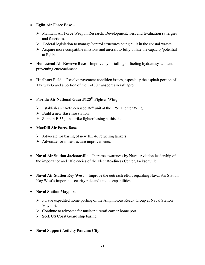- **Eglin Air Force Base –**
	- $\triangleright$  Maintain Air Force Weapon Research, Development, Test and Evaluation synergies and functions.
	- $\triangleright$  Federal legislation to manage/control structures being built in the coastal waters.
	- $\triangleright$  Acquire more compatible missions and aircraft to fully utilize the capacity/potential at Eglin.
- **Homestead Air Reserve Base** Improve by installing of fueling hydrant system and preventing encroachment.
- **Hurlburt Field** -- Resolve pavement condition issues, especially the asphalt portion of Taxiway G and a portion of the C-130 transport aircraft apron.
- **Florida Air National Guard/125th Fighter Wing**
	- $\triangleright$  Establish an "Active-Associate" unit at the 125<sup>th</sup> Fighter Wing.
	- $\triangleright$  Build a new Base fire station.
	- $\triangleright$  Support F-35 joint strike fighter basing at this site.
- **MacDill Air Force Base –**
	- $\triangleright$  Advocate for basing of new KC 46 refueling tankers.
	- $\triangleright$  Advocate for infrastructure improvements.
- **Naval Air Station Jacksonville**  Increase awareness by Naval Aviation leadership of the importance and efficiencies of the Fleet Readiness Center, Jacksonville.
- **Naval Air Station Key West** -- Improve the outreach effort regarding Naval Air Station Key West's important security role and unique capabilities.
- **Naval Station Mayport –**
	- $\triangleright$  Pursue expedited home porting of the Amphibious Ready Group at Naval Station Mayport.
	- $\triangleright$  Continue to advocate for nuclear aircraft carrier home port.
	- $\triangleright$  Seek US Coast Guard ship basing.
- **Naval Support Activity Panama City** –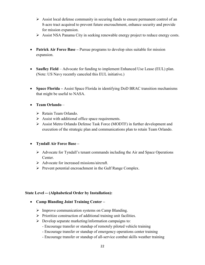- $\triangleright$  Assist local defense community in securing funds to ensure permanent control of an 8-acre tract acquired to prevent future encroachment, enhance security and provide for mission expansion.
- Assist NSA Panama City in seeking renewable energy project to reduce energy costs.
- **Patrick Air Force Base –** Pursue programs to develop sites suitable for mission expansion.
- **Saufley Field** Advocate for funding to implement Enhanced Use Lease (EUL) plan. (Note: US Navy recently canceled this EUL initiative.)
- **Space Florida –** Assist Space Florida in identifying DoD BRAC transition mechanisms that might be useful to NASA.

#### **Team Orlando** –

- ▶ Retain Team Orlando.
- $\triangleright$  Assist with additional office space requirements.
- Assist Metro Orlando Defense Task Force (MODTF) in further development and execution of the strategic plan and communications plan to retain Team Orlando.

#### **Tyndall Air Force Base –**

- $\triangleright$  Advocate for Tyndall's tenant commands including the Air and Space Operations Center.
- $\triangleright$  Advocate for increased missions/aircraft.
- $\triangleright$  Prevent potential encroachment in the Gulf Range Complex.

#### **State Level -- (Alphabetical Order by Installation):**

- **Camp Blanding Joint Training Center** 
	- $\triangleright$  Improve communication systems on Camp Blanding.
	- $\triangleright$  Prioritize construction of additional training unit facilities.
	- $\triangleright$  Develop separate marketing/information campaigns to:
		- Encourage transfer or standup of remotely piloted vehicle training
		- Encourage transfer or standup of emergency operations center training
		- Encourage transfer or standup of all-service combat skills weather training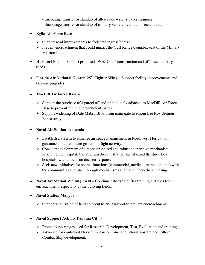- Encourage transfer or standup of all-service water survival training

- Encourage transfer or standup of military vehicle overhaul or recapitalization.
- **Eglin Air Force Base** 
	- $\triangleright$  Support road improvements to facilitate ingress/egress.
	- $\triangleright$  Prevent encroachment that could impact the Gulf Range Complex east of the Military Mission Line.
- **Hurlburt Field** -- Support proposed "West Gate" construction and off base auxiliary roads.
- **Florida Air National Guard/125th Fighter Wing** Support facility improvements and taxiway upgrades.

#### **MacDill Air Force Base –**

- $\triangleright$  Support the purchase of a parcel of land immediately adjacent to MacDill Air Force Base to prevent future encroachment issues.
- $\triangleright$  Support widening of Dale Mabry Blvd. from main gate to enjoin Lee Roy Selmon Expressway.

#### **Naval Air Station Pensacola –**

- $\triangleright$  Establish a system to enhance air space management in Northwest Florida with guidance aimed at future growth in flight activity.
- $\triangleright$  Consider development of a more structured and robust cooperative mechanism involving the hospital, the Veterans Administration facility, and the three local hospitals, with a focus on disaster response.
- $\triangleright$  Seek new initiatives for shared functions (commercial, medical, recreation, etc.) with the communities and State through mechanisms such as enhanced-use leasing.
- **Naval Air Station Whiting Field –** Continue efforts to buffer training airfields from encroachment, especially at the outlying fields.
- **Naval Station Mayport –**
	- $\triangleright$  Support acquisition of land adjacent to NS Mayport to prevent encroachment.

#### **Naval Support Activity Panama City –**

- Protect Navy ranges used for Research, Development, Test, Evaluation and training.
- Advocate for continued Navy emphasis on mine and littoral warfare and Littoral Combat Ship development.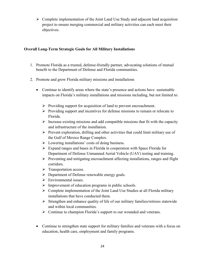$\triangleright$  Complete implementation of the Joint Land Use Study and adjacent land acquisition project to ensure merging commercial and military activities can each meet their objectives.

#### **Overall Long-Term Strategic Goals for All Military Installations**

- 1. Promote Florida as a trusted, defense-friendly partner, advocating solutions of mutual benefit to the Department of Defense and Florida communities.
- 2. Promote and grow Florida military missions and installations
	- Continue to identify areas where the state's presence and actions have sustainable impacts on Florida's military installations and missions including, but not limited to:
		- $\triangleright$  Providing support for acquisition of land to prevent encroachment.
		- $\triangleright$  Providing support and incentives for defense missions to remain or relocate to Florida.
		- $\triangleright$  Increase existing missions and add compatible missions that fit with the capacity and infrastructure of the installation.
		- $\triangleright$  Prevent exploration, drilling and other activities that could limit military use of the Gulf of Mexico Range Complex.
		- $\triangleright$  Lowering installations' costs of doing business.
		- $\triangleright$  Expand ranges and bases in Florida in cooperation with Space Florida for Department of Defense Unmanned Aerial Vehicle (UAV) testing and training.
		- $\triangleright$  Preventing and mitigating encroachment affecting installations, ranges and flight corridors.
		- $\triangleright$  Transportation access.
		- Department of Defense renewable energy goals.
		- $\triangleright$  Environmental issues.
		- $\triangleright$  Improvement of education programs in public schools.
		- $\triangleright$  Complete implementation of the Joint Land Use Studies at all Florida military installations that have conducted them.
		- $\triangleright$  Strengthen and enhance quality of life of our military families/retirees statewide and within local communities.
		- $\triangleright$  Continue to champion Florida's support to our wounded and veterans.
	- Continue to strengthen state support for military families and veterans with a focus on education, health care, employment and family programs.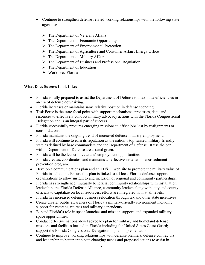- Continue to strengthen defense-related working relationships with the following state agencies:
	- $\triangleright$  The Department of Veterans Affairs
	- $\triangleright$  The Department of Economic Opportunity
	- $\triangleright$  The Department of Environmental Protection
	- The Department of Agriculture and Consumer Affairs Energy Office
	- $\triangleright$  The Department of Military Affairs
	- $\triangleright$  The Department of Business and Professional Regulation
	- $\triangleright$  The Department of Education
	- Workforce Florida

#### **What Does Success Look Like?**

- Florida is fully prepared to assist the Department of Defense to maximize efficiencies in an era of defense downsizing.
- Florida increases or maintains same relative position in defense spending.
- Task Force is the state focal point with support mechanisms, processes, data, and resources to effectively conduct military advocacy actions with the Florida Congressional Delegation and is an integral part of success.
- Florida successfully procures emerging missions to offset jobs lost by realignments or consolidations.
- Florida maintains the ongoing trend of increased defense industry employment.
- Florida will continue to earn its reputation as the nation's top-ranked military-friendly state as defined by base commanders and the Department of Defense. Raise the bar within Department of Defense areas rated green.
- Florida will be the leader in veterans' employment opportunities.
- Florida creates, coordinates, and maintains an effective installation encroachment prevention program.
- Develop a communications plan and an FDSTF web site to promote the military value of Florida installations. Ensure this plan is linked to all local Florida defense support organizations to allow insight to and inclusion of regional and community partnerships.
- Florida has strengthened, mutually beneficial community relationships with installation leadership, the Florida Defense Alliance, community leaders along with, city and county officials to capitalize on local resources; efforts are integrated with at all levels.
- Florida has increased defense business relocation through tax and other state incentives
- Create greater public awareness of Florida's military-friendly environment including support for veterans, retirees and military dependents.
- Expand Florida's role in space launches and mission support, and expanded military space opportunities.
- Conduct effective national-level advocacy plan for military and homeland defense missions and facilities located in Florida including the United States Coast Guard; support the Florida Congressional Delegation in plan implementation.
- Continue to improve working relationships with defense planners, defense contractors and leadership to better anticipate changing needs and proposed actions to assist in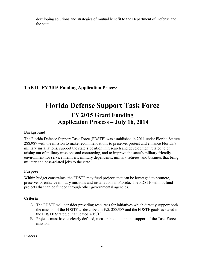developing solutions and strategies of mutual benefit to the Department of Defense and the state.

**TAB D FY 2015 Funding Application Process** 

## **Florida Defense Support Task Force FY 2015 Grant Funding Application Process – July 16, 2014**

#### **Background**

The Florida Defense Support Task Force (FDSTF) was established in 2011 under Florida Statute 288.987 with the mission to make recommendations to preserve, protect and enhance Florida's military installations, support the state's position in research and development related to or arising out of military missions and contracting, and to improve the state's military friendly environment for service members, military dependents, military retirees, and business that bring military and base-related jobs to the state.

#### **Purpose**

Within budget constraints, the FDSTF may fund projects that can be leveraged to promote, preserve, or enhance military missions and installations in Florida. The FDSTF will not fund projects that can be funded through other governmental agencies.

#### **Criteria**

- A. The FDSTF will consider providing resources for initiatives which directly support both the mission of the FDSTF as described in F.S. 288.987 and the FDSTF goals as stated in the FDSTF Strategic Plan, dated 7/19/13.
- B. Projects must have a clearly defined, measurable outcome in support of the Task Force mission.

#### **Process**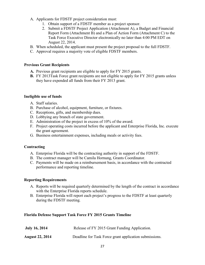- A. Applicants for FDSTF project consideration must:
	- 1. Obtain support of a FDSTF member as a project sponsor.
	- 2. Submit a FDSTF Project Application (Attachment A), a Budget and Financial Report Form (Attachment B) and a Plan of Action Form (Attachment C) to the Task Force Executive Director electronically no later than 4:00 PM EDT on August 22, 2014.
- B. When scheduled, the applicant must present the project proposal to the full FDSTF.
- C. Approval requires a majority vote of eligible FDSTF members.

#### **Previous Grant Recipients**

- **A.** Previous grant recipients are eligible to apply for FY 2015 grants.
- **B.** FY 2013Task Force grant recipients are not eligible to apply for FY 2015 grants unless they have expended all funds from their FY 2013 grant.

#### **Ineligible use of funds**

- A. Staff salaries.
- B. Purchase of alcohol, equipment, furniture, or fixtures.
- C. Receptions, gifts, and membership dues.
- D. Lobbying any branch of state government.
- E. Administration of the project in excess of 10% of the award.
- F. Project operating costs incurred before the applicant and Enterprise Florida, Inc. execute the grant agreement.
- G. Business entertainment expenses, including meals or activity fees.

#### **Contracting**

- A. Enterprise Florida will be the contracting authority in support of the FDSTF.
- B. The contract manager will be Camila Hornung, Grants Coordinator.
- C. Payments will be made on a reimbursement basis, in accordance with the contracted performance and reporting timeline.

#### **Reporting Requirements**

- A. Reports will be required quarterly determined by the length of the contract in accordance with the Enterprise Florida reports schedule.
- B. Enterprise Florida will report each project's progress to the FDSTF at least quarterly during the FDSTF meeting.

#### **Florida Defense Support Task Force FY 2015 Grants Timeline**

| <b>July 16, 2014</b>   | Release of FY 2015 Grant Funding Application.          |
|------------------------|--------------------------------------------------------|
| <b>August 22, 2014</b> | Deadline for Task Force grant application submissions. |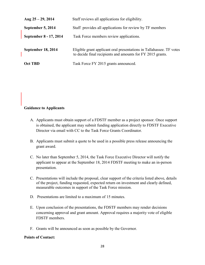| Aug $25 - 29$ , 2014   | Staff reviews all applications for eligibility.                                                                                    |
|------------------------|------------------------------------------------------------------------------------------------------------------------------------|
| September 5, 2014      | Staff provides all applications for review by TF members                                                                           |
| September 8 - 17, 2014 | Task Force members review applications.                                                                                            |
| September 18, 2014     | Eligible grant applicant oral presentations in Tallahassee. TF votes<br>to decide final recipients and amounts for FY 2015 grants. |
| <b>Oct TBD</b>         | Task Force FY 2015 grants announced.                                                                                               |

#### **Guidance to Applicants**

- A. Applicants must obtain support of a FDSTF member as a project sponsor. Once support is obtained, the applicant may submit funding application directly to FDSTF Executive Director via email with CC to the Task Force Grants Coordinator.
- B. Applicants must submit a quote to be used in a possible press release announcing the grant award.
- C. No later than September 5, 2014, the Task Force Executive Director will notify the applicant to appear at the September 18, 2014 FDSTF meeting to make an in-person presentation.
- C. Presentations will include the proposal, clear support of the criteria listed above, details of the project, funding requested, expected return on investment and clearly defined, measurable outcomes in support of the Task Force mission.
- D. Presentations are limited to a maximum of 15 minutes.
- E. Upon conclusion of the presentations, the FDSTF members may render decisions concerning approval and grant amount. Approval requires a majority vote of eligible FDSTF members.
- F. Grants will be announced as soon as possible by the Governor.

#### **Points of Contact:**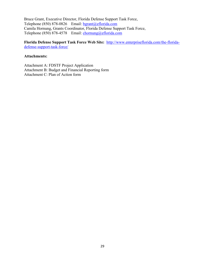Bruce Grant, Executive Director, Florida Defense Support Task Force, Telephone (850) 878-0826 Email: [bgrant@eflorida.com](mailto:bgrant@eflorida.com) Camila Hornung, Grants Coordinator, Florida Defense Support Task Force, Telephone (850) 878-4578 Email: [chornung@eflorida.com](mailto:chornung@eflorida.com)

**Florida Defense Support Task Force Web Site:** [http://www.enterpriseflorida.com/the-florida](http://www.enterpriseflorida.com/the-florida-defense-support-task-force/)[defense-support-task-force/](http://www.enterpriseflorida.com/the-florida-defense-support-task-force/)

#### **Attachments:**

Attachment A: FDSTF Project Application Attachment B: Budget and Financial Reporting form Attachment C: Plan of Action form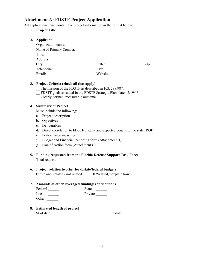#### **Attachment A: FDSTF Project Application**

All applications must contain the project information in the format below:

#### **1. Project Title**

**2. Applicant** 

| Applicant                |          |      |
|--------------------------|----------|------|
| Organization name:       |          |      |
| Name of Primary Contact: |          |      |
| Title:                   |          |      |
| Address:                 |          |      |
| City:                    | State:   | Zip: |
| Telephone:               | Fax:     |      |
| Email:                   | Website: |      |
|                          |          |      |

#### **3. Project Criteria (check all that apply)**

- The mission of the FDSTF as described in F.S. 288.987.
- \_\_ FDSTF goals as stated in the FDSTF Strategic Plan, dated 7/19/13.
- \_\_ Clearly defined, measurable outcome.

#### **4. Summary of Project**

Must include the following:

- a. Project description
- b. Objectives
- c. Deliverables
- d. Direct correlation to FDSTF criteria and expected benefit to the state (ROI)
- e. Performance measures
- f. Budget and Financial Reporting form (Attachment B)
- g. Plan of Action form (Attachment C)
- **5. Funding requested from the Florida Defense Support Task Force**  Total request:

### **6. Project relation to other local/state/federal budgets**

Circle one: related / not related If "related," explain how

#### **7. Amounts of other leveraged funding/ contributions**

| Federal      | <b>State</b> |
|--------------|--------------|
| Local        | Private      |
| <b>Other</b> |              |

**8. Estimated length of project** 

Start date **End date End date End date End date End date End date End date End date End date End date End date End date End date End date End date End date End date End date End date E**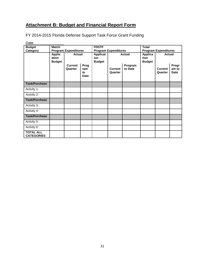## **Attachment B: Budget and Financial Report Form**

FY 2014-2015 Florida Defense Support Task Force Grant Funding

| Date                                  |                                         |                             |                                  |                             |                                                          |                             |                                         |                           |                               |
|---------------------------------------|-----------------------------------------|-----------------------------|----------------------------------|-----------------------------|----------------------------------------------------------|-----------------------------|-----------------------------------------|---------------------------|-------------------------------|
| <b>Budget</b>                         | <b>Match</b>                            |                             |                                  | <b>FDSTF</b>                |                                                          |                             | <b>Total</b>                            |                           |                               |
| Category                              |                                         | <b>Program Expenditures</b> |                                  | <b>Program Expenditures</b> |                                                          | <b>Program Expenditures</b> |                                         |                           |                               |
|                                       | <b>Applic</b><br>ation<br><b>Budget</b> |                             | <b>Actual</b>                    |                             | <b>Applicat</b><br><b>Actual</b><br>ion<br><b>Budget</b> |                             | <b>Applica</b><br>tion<br><b>Budget</b> | <b>Actual</b>             |                               |
|                                       |                                         | <b>Current</b><br>Quarter   | Prog<br>ram<br>to<br><b>Date</b> |                             | <b>Current</b><br>Quarter                                | Program<br>to Date          |                                         | <b>Current</b><br>Quarter | Progr<br>am to<br><b>Date</b> |
| <b>Task/Purchase</b>                  |                                         |                             |                                  |                             |                                                          |                             |                                         |                           |                               |
| Activity 1:                           |                                         |                             |                                  |                             |                                                          |                             |                                         |                           |                               |
| Activity 2:                           |                                         |                             |                                  | $\overline{\phantom{a}}$    |                                                          |                             |                                         |                           |                               |
| <b>Task/Purchase</b>                  |                                         |                             |                                  |                             |                                                          |                             |                                         |                           |                               |
| Activity 3:                           |                                         |                             |                                  |                             |                                                          |                             |                                         |                           |                               |
| Activity 4:                           |                                         |                             |                                  |                             |                                                          |                             |                                         |                           |                               |
| <b>Task/Purchase</b>                  |                                         |                             |                                  |                             |                                                          |                             |                                         |                           |                               |
| Activity 5:                           |                                         |                             |                                  |                             |                                                          |                             |                                         |                           |                               |
| Activity 6:                           |                                         |                             |                                  |                             |                                                          |                             |                                         |                           |                               |
| <b>TOTAL ALL</b><br><b>CATEGORIES</b> |                                         |                             |                                  |                             |                                                          |                             |                                         |                           |                               |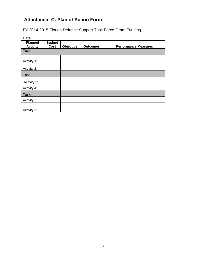## **Attachment C: Plan of Action Form**

FY 2014-2015 Florida Defense Support Task Force Grant Funding

| Date                              |                       |           |                 |                             |
|-----------------------------------|-----------------------|-----------|-----------------|-----------------------------|
| <b>Planned</b><br><b>Activity</b> | <b>Budget</b><br>Cost | Objective | <b>Outcomes</b> | <b>Performance Measures</b> |
| <b>Task</b>                       |                       |           |                 |                             |
| Activity 1:                       |                       |           |                 |                             |
| Activity 2:                       |                       |           |                 |                             |
| <b>Task</b>                       |                       |           |                 |                             |
| Activity 3:                       |                       |           |                 |                             |
| Activity 4:                       |                       |           |                 |                             |
| <b>Task</b>                       |                       |           |                 |                             |
| Activity 5:                       |                       |           |                 |                             |
| Activity 6:                       |                       |           |                 |                             |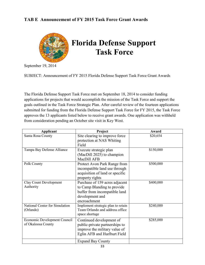#### **TAB E Announcement of FY 2015 Task Force Grant Awards**



September 19, 2014

SUBJECT: Announcement of FY 2015 Florida Defense Support Task Force Grant Awards

The Florida Defense Support Task Force met on September 18, 2014 to consider funding applications for projects that would accomplish the mission of the Task Force and support the goals outlined in the Task Force Strategic Plan. After careful review of the fourteen applications submitted for funding from the Florida Defense Support Task Force for FY 2015, the Task Force approves the 13 applicants listed below to receive grant awards. One application was withheld from consideration pending an October site visit in Key West.

| <b>Applicant</b>                                   | Project                                                                                                                           | Award     |
|----------------------------------------------------|-----------------------------------------------------------------------------------------------------------------------------------|-----------|
| Santa Rosa County                                  | Site clearing to improve force<br>protection at NAS Whiting<br>Field                                                              | \$20,654  |
| Tampa Bay Defense Alliance                         | Execute strategic plan<br>(MacDill 2025) to champion<br>MacDill AFB                                                               | \$150,000 |
| Polk County                                        | Protect Avon Park Range from<br>incompatible land use through<br>acquisition of land or specific<br>property rights               | \$500,000 |
| <b>Clay Count Development</b><br>Authority         | Purchase of 159 acres adjacent<br>to Camp Blanding to provide<br>buffer from incompatible land<br>development and<br>encroachment | \$400,000 |
| National Center for Simulation<br>(Orlando)        | Implement strategic plan to retain<br>Team Orlando and address office<br>space shortage                                           | \$240,000 |
| Economic Development Council<br>of Okaloosa County | Continued development of<br>public-private partnerships to<br>improve the military value of<br>Eglin AFB and Hurlburt Field       | \$285,000 |
|                                                    | <b>Expand Bay County</b>                                                                                                          |           |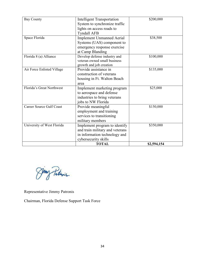| <b>Bay County</b>               | <b>Intelligent Transportation</b> | \$200,000   |
|---------------------------------|-----------------------------------|-------------|
|                                 | System to synchronize traffic     |             |
|                                 | lights on access roads to         |             |
|                                 | <b>Tyndall AFB</b>                |             |
| Space Florida                   | <b>Implement Unmanned Aerial</b>  | \$38,500    |
|                                 | Systems (UAS) component to        |             |
|                                 | emergency response exercise       |             |
|                                 | at Camp Blanding                  |             |
| Florida 8 (a) Alliance          | Develop defense industry and      | \$100,000   |
|                                 | veteran owned small business      |             |
|                                 | growth and job creation           |             |
| Air Force Enlisted Village      | Provide assistance in             | \$135,000   |
|                                 | construction of veterans          |             |
|                                 | housing in Ft. Walton Beach       |             |
|                                 | area                              |             |
| Florida's Great Northwest       | Implement marketing program       | \$25,000    |
|                                 | to aerospace and defense          |             |
|                                 | industries to bring veterans      |             |
|                                 | jobs to NW Florida                |             |
| <b>Career Source Gulf Coast</b> | Provide meaningful                | \$150,000   |
|                                 | employment and training           |             |
|                                 | services to transitioning         |             |
|                                 | military members                  |             |
| University of West Florida      | Implement program to identify     | \$350,000   |
|                                 | and train military and veterans   |             |
|                                 | in information technology and     |             |
|                                 | cybersecurity skills              |             |
|                                 | <b>TOTAL</b>                      | \$2,594,154 |

Jung Patrois

Representative Jimmy Patronis

Chairman, Florida Defense Support Task Force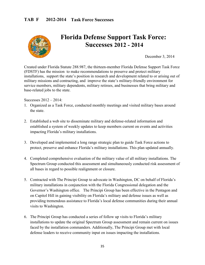

## **Florida Defense Support Task Force: Successes 2012 - 2014**

December 3, 2014

Created under Florida Statute 288.987, the thirteen-member Florida Defense Support Task Force (FDSTF) has the mission to make recommendations to preserve and protect military installations, support the state's position in research and development related to or arising out of military missions and contracting, and improve the state's military-friendly environment for service members, military dependents, military retirees, and businesses that bring military and base-related jobs to the state.

Successes 2012 – 2014:

- 1. Organized as a Task Force, conducted monthly meetings and visited military bases around the state.
- 2. Established a web site to disseminate military and defense-related information and established a system of weekly updates to keep members current on events and activities impacting Florida's military installations.
- 3. Developed and implemented a long range strategic plan to guide Task Force actions to protect, preserve and enhance Florida's military installations. This plan updated annually.
- 4. Completed comprehensive evaluation of the military value of all military installations. The Spectrum Group conducted this assessment and simultaneously conducted risk assessment of all bases in regard to possible realignment or closure.
- 5. Contracted with The Principi Group to advocate in Washington, DC on behalf of Florida's military installations in conjunction with the Florida Congressional delegation and the Governor's Washington office. The Principi Group has been effective in the Pentagon and on Capitol Hill in gaining visibility on Florida's military and defense issues as well as providing tremendous assistance to Florida's local defense communities during their annual visits to Washington.
- 6. The Principi Group has conducted a series of follow up visits to Florida's military installations to update the original Spectrum Group assessment and remain current on issues faced by the installation commanders. Additionally, The Principi Group met with local defense leaders to receive community input on issues impacting the installations.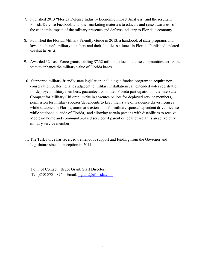- 7. Published 2013 "Florida Defense Industry Economic Impact Analysis" and the resultant Florida Defense Factbook and other marketing materials to educate and raise awareness of the economic impact of the military presence and defense industry to Florida's economy.
- 8. Published the Florida Military Friendly Guide in 2013, a handbook of state programs and laws that benefit military members and their families stationed in Florida. Published updated version in 2014.
- 9. Awarded 32 Task Force grants totaling \$7.32 million to local defense communities across the state to enhance the military value of Florida bases.
- 10. Supported military-friendly state legislation including: a funded program to acquire nonconservation buffering lands adjacent to military installations, an extended voter registration for deployed military members, guaranteed continued Florida participation in the Interstate Compact for Military Children, write in absentee ballots for deployed service members, permission for military spouses/dependents to keep their state of residence driver licenses while stationed in Florida, automatic extensions for military spouse/dependent driver licenses while stationed outside of Florida, and allowing certain persons with disabilities to receive Medicaid home and community-based services if parent or legal guardian is an active duty military service member.
- 11. The Task Force has received tremendous support and funding from the Governor and Legislature since its inception in 2011.

 Point of Contact: Bruce Grant, Staff Director Tel (850) 878-0826 Email:  $b$ grant@eflorida.com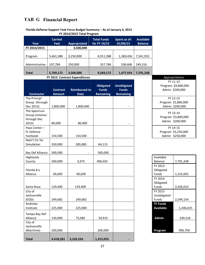### **TAB G Financial Report**

#### **Florida Defense Support Task Force Budget Summary – As of January 6, 2015 FY 2014/2015 Total Program**

| Year           | <b>Carried</b><br><b>Fwd</b> | Appropriated | <b>Total Funds</b><br>for FY 14/15 | Spent as of:<br>01/06/15 | <b>Available</b><br><b>Balance</b> |
|----------------|------------------------------|--------------|------------------------------------|--------------------------|------------------------------------|
| FY 2014/2015   |                              | 3,500,000    |                                    |                          |                                    |
|                |                              |              |                                    |                          |                                    |
| Program        | 5,661,388                    | 3,250,000    | 8,911,388                          | 1,369,456                | 7,541,932                          |
|                |                              |              |                                    |                          |                                    |
| Administrative | 107,784                      | 250,000      | 357,784                            | 108,468                  | 249,316                            |
|                |                              |              |                                    |                          |                                    |
| <b>Total</b>   | 5,769,172                    | 3,500,000    | 9,269,172                          | 1,477,924                | 7,791,248                          |

#### **FY 2013 Contract Expenditures** Appropriations Appropriations

| <b>Contractor</b>                                       | <b>Contract</b><br><b>Amount</b> | <b>Reimbursed to</b><br><b>Date</b> | <b>Obligated</b><br><b>Funds</b><br><b>Remaining</b> | <b>Unobligated</b><br><b>Funds</b><br><b>Remaining</b> |                                     | LI TT-TT<br>Program \$4,800,000<br>Admin \$200,000 |
|---------------------------------------------------------|----------------------------------|-------------------------------------|------------------------------------------------------|--------------------------------------------------------|-------------------------------------|----------------------------------------------------|
| The Principi<br>Group (through<br>Dec 2013)             | 1,800,000                        | 1,800,000                           |                                                      | $\overline{\phantom{a}}$                               |                                     | FY 12-13<br>Program \$1,800,000<br>Admin \$200,000 |
| The Spectrum<br>Group (retainer<br>through Dec<br>2013) | 80,000                           | 80,000                              |                                                      | $\overline{\phantom{a}}$                               |                                     | FY 13-14<br>Program \$3,800,000<br>Admin \$200,000 |
| Haas Center-<br>FL Defense<br>Factbook                  | 154,500                          | 154,500                             |                                                      |                                                        |                                     | FY 14-15<br>Program \$3,250,000<br>Admin \$250,000 |
| Natn'l Ctr for<br>Simulation                            | 350,000                          | 285,885                             | 64,115                                               |                                                        |                                     |                                                    |
| <b>Bay Def Alliance</b>                                 | 500,000                          |                                     | 500,000                                              |                                                        |                                     |                                                    |
| Highlands<br>County                                     | 500,000                          | 3,975                               | 496,025                                              |                                                        | Available<br>Balance                | 7,791,248                                          |
| Florida 8 a<br>Alliance                                 | 99,699                           | 99,699                              |                                                      |                                                        | FY 2013<br>Obligated<br>Funds       | 1,315,055                                          |
| Santa Rosa                                              | 129,400                          | 129,400                             |                                                      |                                                        | FY 2014<br>Obligated<br>Funds       | 2,636,014                                          |
| City of<br>Jacksonville<br>(EOD)                        | 249,682                          | 249,682                             |                                                      |                                                        | FY 2015<br>Unobligated<br>Funds     | 2,594,154                                          |
| Andrews<br>Institute                                    | 225,000                          | 225,000                             |                                                      |                                                        | <b>TF Funds</b><br><b>Available</b> | 1,246,02                                           |
| Tampa Bay Def<br>Alliance                               | 130,000                          | 75,085                              | 54,915                                               |                                                        | <b>Admin</b>                        | 249,316                                            |
| City of<br>Jacksonville<br>(Maritime)                   | 200,000                          |                                     | 200,000                                              |                                                        | Program                             | 996,709                                            |
| <b>Total</b>                                            | 4,418,281                        | 3,103,226                           | 1,315,055                                            |                                                        |                                     |                                                    |

#### FY 11-12 Program \$4,800,000 Admin \$200,000 FY 12-13 Program \$1,800,000 Admin \$200,000

| Available        |           |
|------------------|-----------|
| Balance          | 7,791,248 |
| FY 2013          |           |
| Obligated        |           |
| Funds            | 1,315,055 |
| FY 2014          |           |
| Obligated        |           |
| Funds            | 2,636,014 |
| FY 2015          |           |
| Unobligated      |           |
| Funds            | 2,594,154 |
| <b>TF Funds</b>  |           |
| <b>Available</b> | 1,246,025 |
|                  |           |
| <b>Admin</b>     | 249,316   |
|                  |           |
|                  |           |
| ograi            | 996,709   |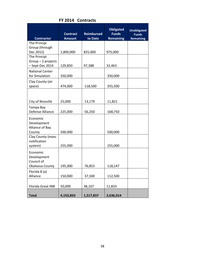| <b>Contractor</b>                                        | <b>Contract</b><br><b>Amount</b> | <b>Reimbursed</b><br>to Date | <b>Obligated</b><br><b>Funds</b><br><b>Remaining</b> | <b>Unobligated</b><br><b>Funds</b><br><b>Remaining</b> |
|----------------------------------------------------------|----------------------------------|------------------------------|------------------------------------------------------|--------------------------------------------------------|
| The Principi                                             |                                  |                              |                                                      |                                                        |
| Group (through                                           |                                  |                              |                                                      |                                                        |
| Dec 2015)                                                | 1,800,000                        | 825,000                      | 975,000                                              |                                                        |
| The Principi                                             |                                  |                              |                                                      |                                                        |
| $Group-2$ projects                                       |                                  |                              |                                                      |                                                        |
| - Sept-Dec 2014                                          | 129,850                          | 97,388                       | 32,463                                               |                                                        |
| <b>National Center</b>                                   |                                  |                              |                                                      |                                                        |
| for Simulation                                           | 350,000                          |                              | 350,000                                              |                                                        |
| Clay County (air                                         |                                  |                              |                                                      |                                                        |
| space)                                                   | 474,000                          | 118,500                      | 355,500                                              |                                                        |
|                                                          |                                  |                              |                                                      |                                                        |
|                                                          |                                  |                              |                                                      |                                                        |
|                                                          |                                  |                              |                                                      |                                                        |
| City of Niceville                                        | 25,000                           | 13,179                       | 11,821                                               |                                                        |
| Tampa Bay                                                |                                  |                              |                                                      |                                                        |
| Defense Alliance                                         | 225,000                          | 56,250                       | 168,750                                              |                                                        |
| Economic<br>Development<br>Alliance of Bay<br>County     | 500,000                          |                              | 500,000                                              |                                                        |
| Clay County (mass<br>notification<br>system)             | 255,000                          |                              | 255,000                                              |                                                        |
| Economic<br>Development<br>Council of<br>Okaloosa County | 195,000                          | 76,853                       | 118,147                                              |                                                        |
| Florida 8 (a)                                            |                                  |                              |                                                      |                                                        |
| Alliance                                                 | 150,000                          | 37,500                       | 112,500                                              |                                                        |
|                                                          |                                  |                              |                                                      |                                                        |
| Florida Great NW                                         | 50,000                           | 38,167                       | 11,833                                               |                                                        |
| <b>Total</b>                                             | 4,153,850                        | 1,517,837                    | 2,636,014                                            |                                                        |

**FY 2014 Contracts**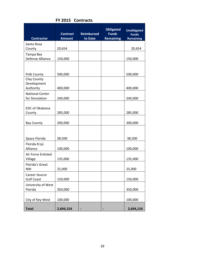| <b>Contractor</b>                        | <b>Contract</b><br><b>Amount</b> | <b>Reimbursed</b><br>to Date | <b>Obligated</b><br><b>Funds</b><br><b>Remaining</b> | <b>Unobligated</b><br><b>Funds</b><br><b>Remaining</b> |
|------------------------------------------|----------------------------------|------------------------------|------------------------------------------------------|--------------------------------------------------------|
| Santa Rosa                               |                                  |                              |                                                      |                                                        |
| County<br>Tampa Bay                      | 20,654                           |                              |                                                      | 20,654                                                 |
| Defense Alliance                         | 150,000                          |                              |                                                      | 150,000                                                |
| Polk County                              | 500,000                          |                              |                                                      | 500,000                                                |
| Clay County<br>Development<br>Authority  | 400,000                          |                              |                                                      | 400,000                                                |
| <b>National Center</b><br>for Simulation | 240,000                          |                              |                                                      | 240,000                                                |
| <b>EDC of Okaloosa</b><br>County         | 285,000                          |                              |                                                      | 285,000                                                |
| <b>Bay County</b>                        | 200,000                          |                              |                                                      | 200,000                                                |
| Space Florida                            | 38,500                           |                              |                                                      | 38,500                                                 |
| Florida 8 (a)<br>Alliance                | 100,000                          |                              |                                                      | 100,000                                                |
| Air Force Enlisted<br>Village            | 135,000                          |                              |                                                      | 135,000                                                |
| Florida's Great<br><b>NW</b>             | 25,000                           |                              |                                                      | 25,000                                                 |
| Career Source<br><b>Gulf Coast</b>       | 150,000                          |                              |                                                      | 150,000                                                |
| University of West<br>Florida            | 350,000                          |                              |                                                      | 350,000                                                |
| City of Key West                         | 100,000                          |                              |                                                      | 100,000                                                |
| <b>Total</b>                             | 2,694,154                        |                              |                                                      | 2,694,154                                              |

#### **FY 2015 Contracts**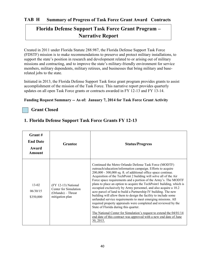## **Florida Defense Support Task Force Grant Program – Narrative Report**

Created in 2011 under Florida Statute 288.987, the Florida Defense Support Task Force (FDSTF) mission is to make recommendations to preserve and protect military installations, to support the state's position in research and development related to or arising out of military missions and contracting, and to improve the state's military-friendly environment for service members, military dependents, military retirees, and businesses that bring military and baserelated jobs to the state.

Initiated in 2013, the Florida Defense Support Task force grant program provides grants to assist accomplishment of the mission of the Task Force. This narrative report provides quarterly updates on all open Task Force grants or contracts awarded in FY 12-13 and FY 13-14.

#### **Funding Request Summary -- As of: January 7, 2014 for Task Force Grant Activity**

#### **Grant Closed**

| Grant#<br><b>End Date</b><br>Award<br><b>Amount</b> | Grantee                                                                               | <b>Status/Progress</b>                                                                                                                                                                                                                                                                                                                                                                                                                                                                                                                                                                                                                                                                                                                                                                                                                                                                                                                                  |
|-----------------------------------------------------|---------------------------------------------------------------------------------------|---------------------------------------------------------------------------------------------------------------------------------------------------------------------------------------------------------------------------------------------------------------------------------------------------------------------------------------------------------------------------------------------------------------------------------------------------------------------------------------------------------------------------------------------------------------------------------------------------------------------------------------------------------------------------------------------------------------------------------------------------------------------------------------------------------------------------------------------------------------------------------------------------------------------------------------------------------|
| $13-02$<br>06/30/15<br>\$350,000                    | (FY 12-13) National<br>Center for Simulation<br>(Orlando) - Threat<br>mitigation plan | Continued the Metro Orlando Defense Task Force (MODTF)<br>outreach/education/information campaign. Efforts to acquire<br>200,000 - 300,000 sq. ft. of additional office space continue.<br>Acquisition of the TechPoint 2 building will solve all of the Air<br>Force space requirements and a portion of the Army's. The MODTF<br>plans to place an option to acquire the TechPoint1 building, which is<br>occupied exclusively by Army personnel, and also acquire a 10.2<br>acre parcel of land to build a Partnership IV building. The new<br>building will allow them to design the facility to include some<br>unfunded service requirements to meet emerging missions. All<br>required property appraisals were completed and reviewed by the<br>State of Florida during this quarter.<br>The National Center for Simulation's request to extend the 04/01/14<br>end date of this contract was approved with a new end date of June<br>30, 2015. |

#### **1. Florida Defense Support Task Force Grants FY 12-13**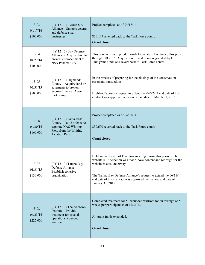| $13 - 03$<br>04/17/14<br>\$100,000 | (FY 12-13) Florida 8 A<br>Alliance - Support veteran<br>and defense small<br>businesses                                       | Project completed as of 04/17/14<br>\$301.45 reverted back to the Task Force control.<br><b>Grant closed.</b>                                                                                                                                                                                                            |
|------------------------------------|-------------------------------------------------------------------------------------------------------------------------------|--------------------------------------------------------------------------------------------------------------------------------------------------------------------------------------------------------------------------------------------------------------------------------------------------------------------------|
| 13-04<br>04/22/14<br>\$500,000     | (FY 12-13) Bay Defense<br>Alliance - Acquire land to<br>prevent encroachment at<br>NSA Panama City.                           | This contract has expired. Florida Legislature has funded this project<br>through HB 2015. Acquisition of land being negotiated by DEP.<br>This grant funds will revert back to Task Force control.                                                                                                                      |
| $13 - 05$<br>03/31/15<br>\$500,000 | (FY 12-13) Highlands<br>County - Acquire land or<br>easements to prevent<br>encroachment at Avon<br>Park Range                | In the process of preparing for the closings of the conservation<br>easement transactions.<br>Highland's county request to extend the 04/22/14 end date of this<br>contract was approved with a new end date of March 31, 2015.                                                                                          |
| $13 - 06$<br>04/30/14<br>\$160,000 | (FY 12-13) Santa Rosa<br>County - Build a fence to<br>separate NAS Whiting<br>Field from the Whiting<br><b>Aviation Park.</b> | Project completed as of 04/07/14.<br>\$30,600 reverted back to the Task Force control.<br><b>Grant closed.</b>                                                                                                                                                                                                           |
| 13-07<br>01/31/15<br>\$130,000     | (FY 12-13) Tampa Bay<br>Defense Alliance -<br>Establish cohesive<br>organization                                              | Held annual Board of Directors meeting during this period. The<br>website RFP selection was made. New content and redesign for the<br>website is also underway.<br>The Tampa Bay Defense Alliance's request to extend the 06/11/14<br>end date of this contract was approved with a new end date of<br>January 31, 2015. |
| 13-08<br>06/23/14<br>\$225,000     | (FY 12-13) The Andrews<br>Institute - Provide<br>treatment for special<br>operations wounded<br>warriors                      | Completed treatment for 50 wounded warriors for an average of 5<br>weeks per participant as of 12/31/13.<br>All grant funds expended.<br><b>Grant closed.</b>                                                                                                                                                            |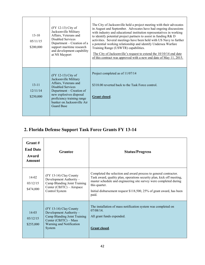| $13 - 10$<br>05/11/15<br>\$200,000 | (FY 12-13) City of<br>Jacksonville Military<br>Affairs, Veterans and<br>Disabled Services<br>Department – Creation of a<br>support maritime research<br>and development capability<br>at NS Mayport                                      | The City of Jacksonville held a project meeting with their advocates<br>in August and September. Advocates have had ongoing discussions<br>with industry and educational institution representatives in working<br>to identify potential project partners to assist in funding R& D<br>activities. Several meetings have been held with US Navy to further<br>a potential working relationship and identify Undersea Warfare<br>Training Range (USWTR) capabilities.<br>The City of Jacksonville's request to extend the $10/10/14$ end date<br>of this contract was approved with a new end date of May 11, 2015. |
|------------------------------------|------------------------------------------------------------------------------------------------------------------------------------------------------------------------------------------------------------------------------------------|--------------------------------------------------------------------------------------------------------------------------------------------------------------------------------------------------------------------------------------------------------------------------------------------------------------------------------------------------------------------------------------------------------------------------------------------------------------------------------------------------------------------------------------------------------------------------------------------------------------------|
| $13 - 11$<br>12/11/14<br>\$250,000 | (FY 12-13) City of<br>Jacksonville Military<br>Affairs, Veterans and<br><b>Disabled Services</b><br>Department – Creation of<br>new explosives disposal<br>proficiency training range<br>bunker on Jacksonville Air<br><b>Guard Base</b> | Project completed as of 11/07/14<br>\$318.00 reverted back to the Task Force control.<br>Grant closed.                                                                                                                                                                                                                                                                                                                                                                                                                                                                                                             |

## **2. Florida Defense Support Task Force Grants FY 13-14**

| Grant #<br><b>End Date</b><br>Award<br><b>Amount</b> | <b>Grantee</b>                                                                                                                                   | <b>Status/Progress</b>                                                                                                                                                                                                                                                                                           |
|------------------------------------------------------|--------------------------------------------------------------------------------------------------------------------------------------------------|------------------------------------------------------------------------------------------------------------------------------------------------------------------------------------------------------------------------------------------------------------------------------------------------------------------|
| $14 - 02$<br>03/12/15<br>\$474,000                   | (FY 13-14) Clay County<br>Development Authority -<br>Camp Blanding Joint Training<br>Center (CBJTC) - Airspace<br>Control System                 | Completed the selection and award process to general contractor.<br>Task award, quality plan, operations security plan, kick off meeting,<br>master schedule and engineering site survey were completed during<br>this quarter.<br>Initial disbursement request \$118,500, 25% of grant award, has been<br>paid. |
| $14-03$<br>03/12/15<br>\$255,000                     | (FY 13-14) Clay County<br>Development Authority -<br>Camp Blanding Joint Training<br>Center (CBJTC) - Mass<br>Warning and Notification<br>System | The installation of mass notification system was completed on<br>$07/08/14$ .<br>All grant funds expended.<br>Grant closed.                                                                                                                                                                                      |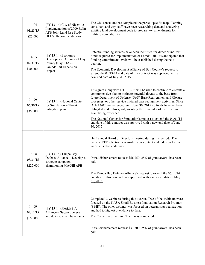| 14-04<br>01/23/15<br>\$25,000      | $(FY 13-14)$ City of Niceville –<br>Implementation of 2009 Eglin<br><b>AFB Joint Land Use Study</b><br>(JLUS) Recommendations | The GIS consultant has completed the parcel-specific map. Planning<br>consultant and city staff have been researching data and analyzing<br>existing land development code to prepare text amendments for<br>military compatibility.                                                                                                                                                                                                                                                                                                                                                                                    |
|------------------------------------|-------------------------------------------------------------------------------------------------------------------------------|-------------------------------------------------------------------------------------------------------------------------------------------------------------------------------------------------------------------------------------------------------------------------------------------------------------------------------------------------------------------------------------------------------------------------------------------------------------------------------------------------------------------------------------------------------------------------------------------------------------------------|
| $14 - 05$<br>07/31/15<br>\$500,000 | $(FY 13-14)$ Economic<br>Development Alliance of Bay<br>County (BayEDA) -<br>LambdaRail Expansion<br>Project                  | Potential funding sources have been identified for direct or indirect<br>funds required for implementation of LamdaRail. It is anticipated that<br>funding commitment levels will be established during the next<br>quarter.<br>The Economic Development Alliance of Bay County's request to<br>extend the $01/13/14$ end date of this contract was approved with a<br>new end date of July 31, 2015.                                                                                                                                                                                                                   |
| 14-06<br>06/30/15<br>\$350,000     | (FY 13-14) National Center<br>for Simulation - Threat<br>mitigation plan                                                      | This grant along with DTF 13-02 will be used to continue to execute a<br>comprehensive plan to mitigate potential threats to the base from<br>future Department of Defense (DoD) Base Realignment and Closure<br>processes, or other service initiated base realignment activities. Since<br>DTF 13-02 was extended until June 30, 2015 no funds have yet been<br>obligated under this grant, awaiting the remainder of the previous<br>grant being expended.<br>The National Center for Simulation's request to extend the 04/01/14<br>end date of this contract was approved with a new end date of June<br>30, 2015. |
| 14-08<br>05/31/15<br>\$225,000     | (FY 13-14) Tampa Bay<br>Defense Alliance - Develop a<br>strategic campaign<br>championing MacDill AFB                         | Held annual Board of Directors meeting during this period. The<br>website RFP selection was made. New content and redesign for the<br>website is also underway.<br>Initial disbursement request \$56,250, 25% of grant award, has been<br>paid.<br>The Tampa Bay Defense Alliance's request to extend the 06/11/14<br>end date of this contract was approved with a new end date of May<br>31, 2015.                                                                                                                                                                                                                    |
| 14-09<br>02/11/15<br>\$150,000     | (FY 13-14) Florida 8 A<br>Alliance - Support veteran<br>and defense small businesses                                          | Completed 3 webinars during this quarter. Two of the webinars were<br>focused on the NASA Small Business Innovation Research Program<br>(SBIR). The other webinar was focused on veteran state registration<br>and had to highest attendance to date.<br>The Conference Training Track was completed.<br>Initial disbursement request \$37,500, 25% of grant award, has been<br>paid.                                                                                                                                                                                                                                   |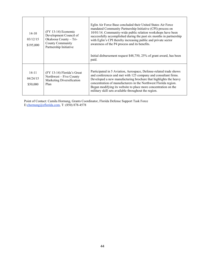| $14-10$<br>03/12/15<br>\$195,000  | $(FY 13-14)$ Economic<br>Development Council of<br>Okaloosa County - Tri-<br><b>County Community</b><br>Partnership Initiative | Eglin Air Force Base concluded their United States Air Force<br>mandated Community Partnership Initiative (CPI) process on<br>10/01/14. Community-wide public relation workshops have been<br>successfully accomplished during the past six months in partnership<br>with Eglin's CPI thereby increasing public and private sector<br>awareness of the P4 process and its benefits.<br>Initial disbursement request \$48,750, 25% of grant award, has been<br>paid. |
|-----------------------------------|--------------------------------------------------------------------------------------------------------------------------------|---------------------------------------------------------------------------------------------------------------------------------------------------------------------------------------------------------------------------------------------------------------------------------------------------------------------------------------------------------------------------------------------------------------------------------------------------------------------|
| $14 - 11$<br>04/24/15<br>\$50,000 | (FY 13-14) Florida's Great<br>Northwest – Five County<br>Marketing Diversification<br>Plan                                     | Participated in 5 Aviation, Aerospace, Defense-related trade shows<br>and conferences and met with 125 company and consultant firms.<br>Developed a new manufacturing brochure that highlights the heavy<br>concentration of manufacturers in the Northwest Florida region.<br>Began modifying its website to place more concentration on the<br>military skill sets available throughout the region.                                                               |

Point of Contact: Camila Hornung, Grants Coordinator, Florida Defense Support Task Force E:chornung@eflorida.com, T: (850) 878-4578